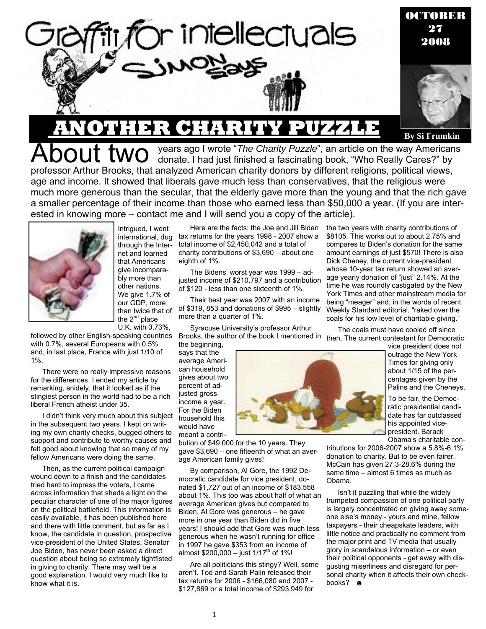

About two years ago I wrote "*The Charity Puzzle*", an article on the way Americans donate. I had just finished a fascinating book, "Who Really Cares?" by professor Arthur Brooks, that analyzed American charity donors by different religions, political views, age and income. It showed that liberals gave much less than conservatives, that the religious were much more generous than the secular, that the elderly gave more than the young and that the rich gave a smaller percentage of their income than those who earned less than \$50,000 a year. (If you are interested in knowing more – contact me and I will send you a copy of the article).



Intrigued, I went through the Internet and learned that Americans give incomparably more than other nations. We give 1.7% of our GDP, more than twice that of the 2<sup>nd</sup> place U.K. with 0.73%,

followed by other English-speaking countries with 0.7%, several Europeans with 0.5% and, in last place, France with just 1/10 of 1%.

There were no really impressive reasons for the differences. I ended my article by remarking, snidely, that it looked as if the stingiest person in the world had to be a rich liberal French atheist under 35.

I didn't think very much about this subject in the subsequent two years. I kept on writing my own charity checks, bugged others to support and contribute to worthy causes and felt good about knowing that so many of my fellow Americans were doing the same.

Then, as the current political campaign wound down to a finish and the candidates tried hard to impress the voters, I came across information that sheds a light on the peculiar character of one of the major figures on the political battlefield. This information is easily available, it has been published here and there with little comment, but as far as I know, the candidate in question, prospective vice-president of the United States, Senator Joe Biden, has never been asked a direct question about being so extremely tightfisted in giving to charity. There may well be a good explanation. I would very much like to know what it is.

international, dug tax returns for the years 1998 - 2007 show a Here are the facts: the Joe and Jill Biden total income of \$2,450,042 and a total of charity contributions of \$3,690 – about one eighth of 1%.

> The Bidens' worst year was 1999 – adjusted income of \$210,797 and a contribution of \$120 - less than one sixteenth of 1%.

> Their best year was 2007 with an income of \$319, 853 and donations of \$995 – slightly more than a quarter of 1%.

Syracuse University's professor Arthur

the beginning, says that the average American household gives about two percent of adjusted gross income a year. For the Biden household this would have meant a contri-

bution of \$49,000 for the 10 years. They gave \$3,690 – one fifteenth of what an average American family gives!

By comparison, Al Gore, the 1992 Democratic candidate for vice president, donated \$1,727 out of an income of \$183,558 – about 1%. This too was about half of what an average American gives but compared to Biden, Al Gore was generous – he gave more in one year than Biden did in five years! I should add that Gore was much less generous when he wasn't running for office – in 1997 he gave \$353 from an income of almost  $$200,000 -$  just 1/17<sup>th</sup> of 1%!

Are all politicians this stingy? Well, some aren't. Tod and Sarah Palin released their tax returns for 2006 - \$166,080 and 2007 - \$127,869 or a total income of \$293,949 for

the two years with charity contributions of \$8105. This works out to about 2.75% and compares to Biden's donation for the same amount earnings of just \$570! There is also Dick Cheney, the current vice-president whose 10-year tax return showed an average yearly donation of "just" 2.14%. At the time he was roundly castigated by the New York Times and other mainstream media for being "meager" and, in the words of recent Weekly Standard editorial, "raked over the coals for his low level of charitable giving."

Brooks, the author of the book I mentioned in then. The current contestant for Democratic The coals must have cooled off since

> vice president does not outrage the New York Times for giving only about 1/15 of the percentages given by the Palins and the Cheneys.

> To be fair, the Democratic presidential candidate has far outclassed his appointed vicepresident. Barack Obama's charitable con-

tributions for 2006-2007 show a 5.8%-6.1% donation to charity. But to be even fairer, McCain has given 27.3-28.6% during the same time – almost 6 times as much as Obama.

Isn't it puzzling that while the widely trumpeted compassion of one political party is largely concentrated on giving away someone else's money - yours and mine, fellow taxpayers - their cheapskate leaders, with little notice and practically no comment from the major print and TV media that usually glory in scandalous information – or even their political opponents - get away with disgusting miserliness and disregard for personal charity when it affects their own checkbooks? ☻

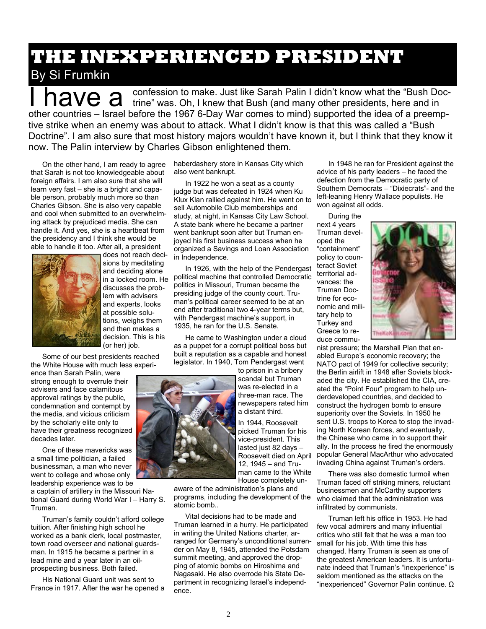## **THE INEXPERIENCED PRESIDENT**  By Si Frumkin

I have a confession to make. Just like Sarah Palin I didn't know what the "Bush Doc-<br>I have was. Oh, I knew that Bush (and many other presidents, here and in other countries – Israel before the 1967 6-Day War comes to mind) supported the idea of a preemptive strike when an enemy was about to attack. What I didn't know is that this was called a "Bush Doctrine". I am also sure that most history majors wouldn't have known it, but I think that they know it now. The Palin interview by Charles Gibson enlightened them.

On the other hand, I am ready to agree that Sarah is not too knowledgeable about foreign affairs. I am also sure that she will learn very fast – she is a bright and capable person, probably much more so than Charles Gibson. She is also very capable and cool when submitted to an overwhelming attack by prejudiced media. She can handle it. And yes, she is a heartbeat from the presidency and I think she would be able to handle it too. After all, a president



does not reach decisions by meditating and deciding alone in a locked room. He discusses the problem with advisers and experts, looks at possible solutions, weighs them and then makes a decision. This is his (or her) job.

Some of our best presidents reached the White House with much less experi-

ence than Sarah Palin, were strong enough to overrule their advisers and face calamitous approval ratings by the public, condemnation and contempt by the media, and vicious criticism by the scholarly elite only to have their greatness recognized decades later.

One of these mavericks was a small time politician, a failed businessman, a man who never went to college and whose only leadership experience was to be

a captain of artillery in the Missouri National Guard during World War I – Harry S. Truman.

Truman's family couldn't afford college tuition. After finishing high school he worked as a bank clerk, local postmaster, town road overseer and national guardsman. In 1915 he became a partner in a lead mine and a year later in an oilprospecting business. Both failed.

His National Guard unit was sent to France in 1917. After the war he opened a haberdashery store in Kansas City which also went bankrupt.

In 1922 he won a seat as a county judge but was defeated in 1924 when Ku Klux Klan rallied against him. He went on to sell Automobile Club memberships and study, at night, in Kansas City Law School. A state bank where he became a partner went bankrupt soon after but Truman enjoyed his first business success when he organized a Savings and Loan Association in Independence.

In 1926, with the help of the Pendergast political machine that controlled Democratic politics in Missouri, Truman became the presiding judge of the county court. Truman's political career seemed to be at an end after traditional two 4-year terms but, with Pendergast machine's support, in 1935, he ran for the U.S. Senate.

He came to Washington under a cloud as a puppet for a corrupt political boss but built a reputation as a capable and honest legislator. In 1940, Tom Pendergast went



to prison in a bribery scandal but Truman was re-elected in a three-man race. The newspapers rated him a distant third.

In 1944, Roosevelt picked Truman for his vice-president. This lasted just 82 days – Roosevelt died on April 12, 1945 – and Truman came to the White House completely un-

aware of the administration's plans and programs, including the development of the atomic bomb..

Vital decisions had to be made and Truman learned in a hurry. He participated in writing the United Nations charter, arranged for Germany's unconditional surrender on May 8, 1945, attended the Potsdam summit meeting, and approved the dropping of atomic bombs on Hiroshima and Nagasaki. He also overrode his State Department in recognizing Israel's independence.

In 1948 he ran for President against the advice of his party leaders – he faced the defection from the Democratic party of Southern Democrats – "Dixiecrats"- and the left-leaning Henry Wallace populists. He won against all odds.

During the next 4 years Truman developed the "containment" policy to counteract Soviet territorial advances: the Truman Doctrine for economic and military help to Turkey and Greece to reduce commu-



nist pressure; the Marshall Plan that enabled Europe's economic recovery; the NATO pact of 1949 for collective security; the Berlin airlift in 1948 after Soviets blockaded the city. He established the CIA, created the "Point Four" program to help underdeveloped countries, and decided to construct the hydrogen bomb to ensure superiority over the Soviets. In 1950 he sent U.S. troops to Korea to stop the invading North Korean forces, and eventually, the Chinese who came in to support their ally. In the process he fired the enormously popular General MacArthur who advocated invading China against Truman's orders.

There was also domestic turmoil when Truman faced off striking miners, reluctant businessmen and McCarthy supporters who claimed that the administration was infiltrated by communists.

Truman left his office in 1953. He had few vocal admirers and many influential critics who still felt that he was a man too small for his job. With time this has changed. Harry Truman is seen as one of the greatest American leaders. It is unfortunate indeed that Truman's "inexperience" is seldom mentioned as the attacks on the "inexperienced" Governor Palin continue. Ω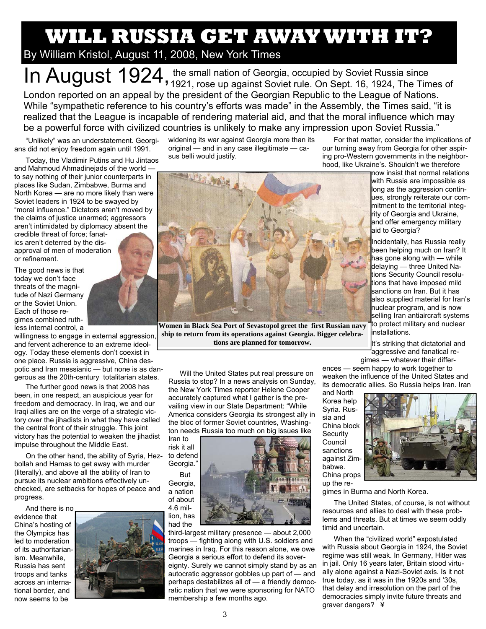## **WILL RUSSIA GET AWAY WITH IT?**  By William Kristol, August 11, 2008, New York Times

In August 1924, the small nation of Georgia, occupied by Soviet Russia since<br>In August 1924, rose up against Soviet rule. On Sept. 16, 1924, The Times of London reported on an appeal by the president of the Georgian Republic to the League of Nations. While "sympathetic reference to his country's efforts was made" in the Assembly, the Times said, "it is realized that the League is incapable of rendering material aid, and that the moral influence which may be a powerful force with civilized countries is unlikely to make any impression upon Soviet Russia."

"Unlikely" was an understatement. Georgians did not enjoy freedom again until 1991.

Today, the Vladimir Putins and Hu Jintaos and Mahmoud Ahmadinejads of the world to say nothing of their junior counterparts in places like Sudan, Zimbabwe, Burma and North Korea — are no more likely than were Soviet leaders in 1924 to be swayed by "moral influence." Dictators aren't moved by the claims of justice unarmed; aggressors aren't intimidated by diplomacy absent the

credible threat of force; fanatics aren't deterred by the disapproval of men of moderation or refinement.

The good news is that today we don't face threats of the magnitude of Nazi Germany or the Soviet Union. Each of those regimes combined ruthless internal control, a

willingness to engage in external aggression, and fervent adherence to an extreme ideology. Today these elements don't coexist in one place. Russia is aggressive, China despotic and Iran messianic — but none is as dangerous as the 20th-century totalitarian states.

The further good news is that 2008 has been, in one respect, an auspicious year for freedom and democracy. In Iraq, we and our Iraqi allies are on the verge of a strategic victory over the jihadists in what they have called the central front of their struggle. This joint victory has the potential to weaken the jihadist impulse throughout the Middle East.

On the other hand, the ability of Syria, Hez-to defend bollah and Hamas to get away with murder (literally), and above all the ability of Iran to pursue its nuclear ambitions effectively unchecked, are setbacks for hopes of peace and progress.

And there is no evidence that China's hosting of the Olympics has led to moderation of its authoritarianism. Meanwhile, Russia has sent troops and tanks across an international border, and now seems to be



widening its war against Georgia more than its original — and in any case illegitimate — casus belli would justify.

For that matter, consider the implications of our turning away from Georgia for other aspiring pro-Western governments in the neighborhood, like Ukraine's. Shouldn't we therefore

now insist that normal relations with Russia are impossible as long as the aggression continues, strongly reiterate our commitment to the territorial integrity of Georgia and Ukraine, and offer emergency military aid to Georgia?

Incidentally, has Russia really been helping much on Iran? It has gone along with — while delaying — three United Nations Security Council resolutions that have imposed mild sanctions on Iran. But it has also supplied material for Iran's nuclear program, and is now selling Iran antiaircraft systems to protect military and nuclear installations.

It's striking that dictatorial and aggressive and fanatical regimes — whatever their differ-

ences — seem happy to work together to weaken the influence of the United States and its democratic allies. So Russia helps Iran. Iran

and North Korea help Syria. Russia and China block **Security** Council sanctions against Zimbabwe. China props up the re-



gimes in Burma and North Korea.

The United States, of course, is not without resources and allies to deal with these problems and threats. But at times we seem oddly timid and uncertain.

When the "civilized world" expostulated with Russia about Georgia in 1924, the Soviet regime was still weak. In Germany, Hitler was in jail. Only 16 years later, Britain stood virtually alone against a Nazi-Soviet axis. Is it not true today, as it was in the 1920s and '30s, that delay and irresolution on the part of the democracies simply invite future threats and graver dangers? ¥



**Women in Black Sea Port of Sevastopol greet the first Russian navy ship to return from its operations against Georgia. Bigger celebrations are planned for tomorrow.** 

Will the United States put real pressure on Russia to stop? In a news analysis on Sunday, the New York Times reporter Helene Cooper accurately captured what I gather is the prevailing view in our State Department: "While America considers Georgia its strongest ally in the bloc of former Soviet countries, Washington needs Russia too much on big issues like

Iran to risk it all Georgia."

But Georgia, a nation of about 4.6 million, has had the



third-largest military presence — about 2,000 troops — fighting along with U.S. soldiers and marines in Iraq. For this reason alone, we owe Georgia a serious effort to defend its sovereignty. Surely we cannot simply stand by as an autocratic aggressor gobbles up part of — and perhaps destabilizes all of — a friendly democratic nation that we were sponsoring for NATO membership a few months ago.